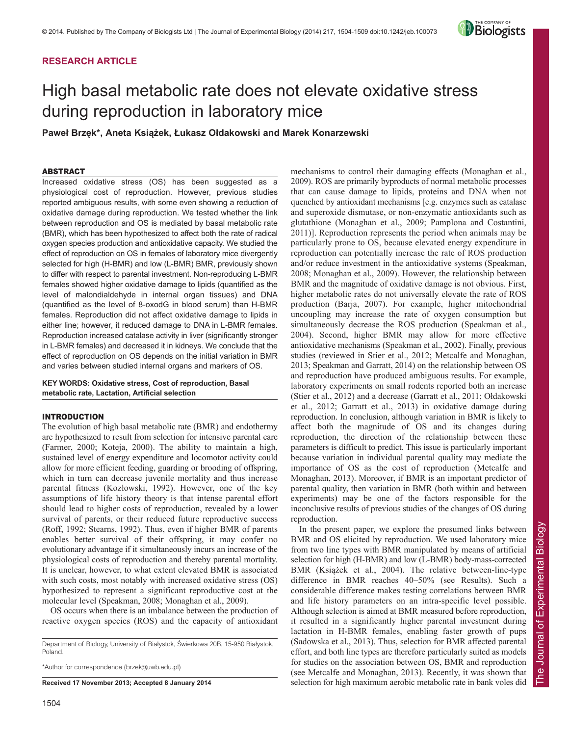# **RESEARCH ARTICLE**



# High basal metabolic rate does not elevate oxidative stress during reproduction in laboratory mice

**Paweł Brzęk\*, Aneta Książek, Łukasz Ołdakowski and Marek Konarzewski**

### ABSTRACT

Increased oxidative stress (OS) has been suggested as a physiological cost of reproduction. However, previous studies reported ambiguous results, with some even showing a reduction of oxidative damage during reproduction. We tested whether the link between reproduction and OS is mediated by basal metabolic rate (BMR), which has been hypothesized to affect both the rate of radical oxygen species production and antioxidative capacity. We studied the effect of reproduction on OS in females of laboratory mice divergently selected for high (H-BMR) and low (L-BMR) BMR, previously shown to differ with respect to parental investment. Non-reproducing L-BMR females showed higher oxidative damage to lipids (quantified as the level of malondialdehyde in internal organ tissues) and DNA (quantified as the level of 8-oxodG in blood serum) than H-BMR females. Reproduction did not affect oxidative damage to lipids in either line; however, it reduced damage to DNA in L-BMR females. Reproduction increased catalase activity in liver (significantly stronger in L-BMR females) and decreased it in kidneys. We conclude that the effect of reproduction on OS depends on the initial variation in BMR and varies between studied internal organs and markers of OS.

**KEY WORDS: Oxidative stress, Cost of reproduction, Basal metabolic rate, Lactation, Artificial selection**

# INTRODUCTION

The evolution of high basal metabolic rate (BMR) and endothermy are hypothesized to result from selection for intensive parental care (Farmer, 2000; Koteja, 2000). The ability to maintain a high, sustained level of energy expenditure and locomotor activity could allow for more efficient feeding, guarding or brooding of offspring, which in turn can decrease juvenile mortality and thus increase parental fitness (Kozłowski, 1992). However, one of the key assumptions of life history theory is that intense parental effort should lead to higher costs of reproduction, revealed by a lower survival of parents, or their reduced future reproductive success (Roff, 1992; Stearns, 1992). Thus, even if higher BMR of parents enables better survival of their offspring, it may confer no evolutionary advantage if it simultaneously incurs an increase of the physiological costs of reproduction and thereby parental mortality. It is unclear, however, to what extent elevated BMR is associated with such costs, most notably with increased oxidative stress (OS) hypothesized to represent a significant reproductive cost at the molecular level (Speakman, 2008; Monaghan et al., 2009).

OS occurs when there is an imbalance between the production of reactive oxygen species (ROS) and the capacity of antioxidant

Department of Biology, University of Białystok, Świerkowa 20B, 15-950 Białystok, Poland.

\*Author for correspondence (brzek@uwb.edu.pl)

**Received 17 November 2013; Accepted 8 January 2014**

2009). ROS are primarily byproducts of normal metabolic processes that can cause damage to lipids, proteins and DNA when not quenched by antioxidant mechanisms [e.g. enzymes such as catalase and superoxide dismutase, or non-enzymatic antioxidants such as glutathione (Monaghan et al., 2009; Pamplona and Costantini, 2011)]. Reproduction represents the period when animals may be particularly prone to OS, because elevated energy expenditure in reproduction can potentially increase the rate of ROS production and/or reduce investment in the antioxidative systems (Speakman, 2008; Monaghan et al., 2009). However, the relationship between BMR and the magnitude of oxidative damage is not obvious. First, higher metabolic rates do not universally elevate the rate of ROS production (Barja, 2007). For example, higher mitochondrial uncoupling may increase the rate of oxygen consumption but simultaneously decrease the ROS production (Speakman et al., 2004). Second, higher BMR may allow for more effective antioxidative mechanisms (Speakman et al., 2002). Finally, previous studies (reviewed in Stier et al., 2012; Metcalfe and Monaghan, 2013; Speakman and Garratt, 2014) on the relationship between OS and reproduction have produced ambiguous results. For example, laboratory experiments on small rodents reported both an increase (Stier et al., 2012) and a decrease (Garratt et al., 2011; Ołdakowski et al., 2012; Garratt et al., 2013) in oxidative damage during reproduction. In conclusion, although variation in BMR is likely to affect both the magnitude of OS and its changes during reproduction, the direction of the relationship between these parameters is difficult to predict. This issue is particularly important because variation in individual parental quality may mediate the importance of OS as the cost of reproduction (Metcalfe and Monaghan, 2013). Moreover, if BMR is an important predictor of parental quality, then variation in BMR (both within and between experiments) may be one of the factors responsible for the inconclusive results of previous studies of the changes of OS during

mechanisms to control their damaging effects (Monaghan et al.,

In the present paper, we explore the presumed links between BMR and OS elicited by reproduction. We used laboratory mice from two line types with BMR manipulated by means of artificial selection for high (H-BMR) and low (L-BMR) body-mass-corrected BMR (Książek et al., 2004). The relative between-line-type difference in BMR reaches 40–50% (see Results). Such a considerable difference makes testing correlations between BMR and life history parameters on an intra-specific level possible. Although selection is aimed at BMR measured before reproduction, it resulted in a significantly higher parental investment during lactation in H-BMR females, enabling faster growth of pups (Sadowska et al., 2013). Thus, selection for BMR affected parental effort, and both line types are therefore particularly suited as models for studies on the association between OS, BMR and reproduction (see Metcalfe and Monaghan, 2013). Recently, it was shown that selection for high maximum aerobic metabolic rate in bank voles did

reproduction.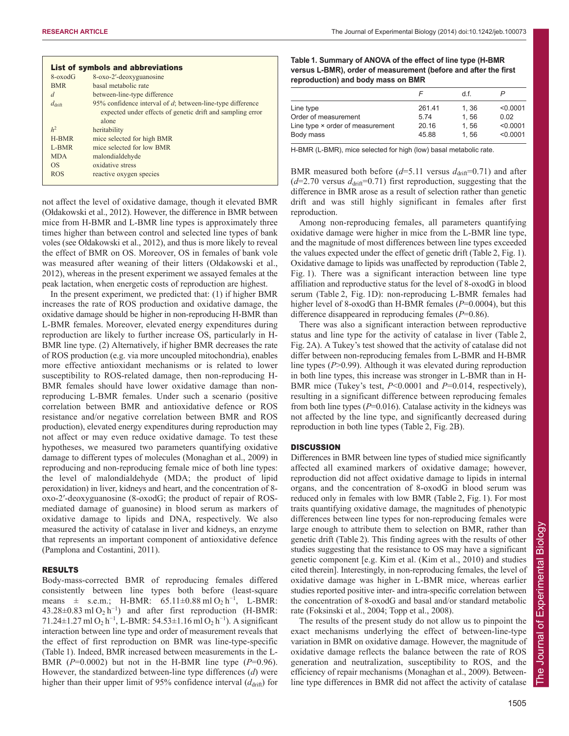| <b>List of symbols and abbreviations</b> |                                                                     |  |  |  |  |  |  |
|------------------------------------------|---------------------------------------------------------------------|--|--|--|--|--|--|
| $8$ -oxod $G$                            | 8-oxo-2'-deoxyguanosine                                             |  |  |  |  |  |  |
| <b>BMR</b>                               | basal metabolic rate                                                |  |  |  |  |  |  |
| d                                        | between-line-type difference                                        |  |  |  |  |  |  |
| $d_{\text{drift}}$                       | 95% confidence interval of d; between-line-type difference          |  |  |  |  |  |  |
|                                          | expected under effects of genetic drift and sampling error<br>alone |  |  |  |  |  |  |
| h <sup>2</sup>                           | heritability                                                        |  |  |  |  |  |  |
| H-BMR                                    | mice selected for high BMR                                          |  |  |  |  |  |  |
| $L-BMR$                                  | mice selected for low BMR                                           |  |  |  |  |  |  |
| <b>MDA</b>                               | malondialdehyde                                                     |  |  |  |  |  |  |
| OS.                                      | oxidative stress                                                    |  |  |  |  |  |  |
| <b>ROS</b>                               | reactive oxygen species                                             |  |  |  |  |  |  |

not affect the level of oxidative damage, though it elevated BMR (Ołdakowski et al., 2012). However, the difference in BMR between mice from H-BMR and L-BMR line types is approximately three times higher than between control and selected line types of bank voles (see Ołdakowski et al., 2012), and thus is more likely to reveal the effect of BMR on OS. Moreover, OS in females of bank vole was measured after weaning of their litters (Ołdakowski et al., 2012), whereas in the present experiment we assayed females at the peak lactation, when energetic costs of reproduction are highest.

In the present experiment, we predicted that: (1) if higher BMR increases the rate of ROS production and oxidative damage, the oxidative damage should be higher in non-reproducing H-BMR than L-BMR females. Moreover, elevated energy expenditures during reproduction are likely to further increase OS, particularly in H-BMR line type. (2) Alternatively, if higher BMR decreases the rate of ROS production (e.g. via more uncoupled mitochondria), enables more effective antioxidant mechanisms or is related to lower susceptibility to ROS-related damage, then non-reproducing H-BMR females should have lower oxidative damage than nonreproducing L-BMR females. Under such a scenario (positive correlation between BMR and antioxidative defence or ROS resistance and/or negative correlation between BMR and ROS production), elevated energy expenditures during reproduction may not affect or may even reduce oxidative damage. To test these hypotheses, we measured two parameters quantifying oxidative damage to different types of molecules (Monaghan et al., 2009) in reproducing and non-reproducing female mice of both line types: the level of malondialdehyde (MDA; the product of lipid peroxidation) in liver, kidneys and heart, and the concentration of 8 oxo-2′-deoxyguanosine (8-oxodG; the product of repair of ROSmediated damage of guanosine) in blood serum as markers of oxidative damage to lipids and DNA, respectively. We also measured the activity of catalase in liver and kidneys, an enzyme that represents an important component of antioxidative defence (Pamplona and Costantini, 2011).

### RESULTS

Body-mass-corrected BMR of reproducing females differed consistently between line types both before (least-square means  $\pm$  s.e.m.; H-BMR: 65.11±0.88 ml O<sub>2</sub> h<sup>-1</sup>, L-BMR:  $43.28 \pm 0.83$  ml O<sub>2</sub> h<sup>-1</sup>) and after first reproduction (H-BMR: 71.24±1.27 ml O<sub>2</sub> h<sup>-1</sup>, L-BMR: 54.53±1.16 ml O<sub>2</sub> h<sup>-1</sup>). A significant interaction between line type and order of measurement reveals that the effect of first reproduction on BMR was line-type-specific (Table 1). Indeed, BMR increased between measurements in the L-BMR  $(P=0.0002)$  but not in the H-BMR line type  $(P=0.96)$ . However, the standardized between-line type differences (*d*) were higher than their upper limit of 95% confidence interval  $(d<sub>drift</sub>)$  for

## **Table 1. Summary of ANOVA of the effect of line type (H-BMR versus L-BMR), order of measurement (before and after the first reproduction) and body mass on BMR**

|                                  |        | d.f. |          |
|----------------------------------|--------|------|----------|
| Line type                        | 261.41 | 1.36 | < 0.0001 |
| Order of measurement             | 574    | 1.56 | 0.02     |
| Line type × order of measurement | 20.16  | 1.56 | < 0.0001 |
| Body mass                        | 45.88  | 1.56 | < 0.0001 |

H-BMR (L-BMR), mice selected for high (low) basal metabolic rate.

BMR measured both before  $(d=5.11 \text{ versus } d_{drift}=0.71)$  and after  $(d=2.70 \text{ versus } d_{\text{drift}}=0.71)$  first reproduction, suggesting that the difference in BMR arose as a result of selection rather than genetic drift and was still highly significant in females after first reproduction.

Among non-reproducing females, all parameters quantifying oxidative damage were higher in mice from the L-BMR line type, and the magnitude of most differences between line types exceeded the values expected under the effect of genetic drift (Table 2, Fig. 1). Oxidative damage to lipids was unaffected by reproduction (Table 2, Fig. 1). There was a significant interaction between line type affiliation and reproductive status for the level of 8-oxodG in blood serum (Table 2, Fig. 1D): non-reproducing L-BMR females had higher level of 8-oxodG than H-BMR females ( $P=0.0004$ ), but this difference disappeared in reproducing females (*P*=0.86).

There was also a significant interaction between reproductive status and line type for the activity of catalase in liver (Table 2, Fig. 2A). A Tukey's test showed that the activity of catalase did not differ between non-reproducing females from L-BMR and H-BMR line types (*P*>0.99). Although it was elevated during reproduction in both line types, this increase was stronger in L-BMR than in H-BMR mice (Tukey's test, *P*<0.0001 and *P*=0.014, respectively), resulting in a significant difference between reproducing females from both line types (*P*=0.016). Catalase activity in the kidneys was not affected by the line type, and significantly decreased during reproduction in both line types (Table 2, Fig. 2B).

### **DISCUSSION**

Differences in BMR between line types of studied mice significantly affected all examined markers of oxidative damage; however, reproduction did not affect oxidative damage to lipids in internal organs, and the concentration of 8-oxodG in blood serum was reduced only in females with low BMR (Table 2, Fig. 1). For most traits quantifying oxidative damage, the magnitudes of phenotypic differences between line types for non-reproducing females were large enough to attribute them to selection on BMR, rather than genetic drift (Table 2). This finding agrees with the results of other studies suggesting that the resistance to OS may have a significant genetic component [e.g. Kim et al. (Kim et al., 2010) and studies cited therein]. Interestingly, in non-reproducing females, the level of oxidative damage was higher in L-BMR mice, whereas earlier studies reported positive inter- and intra-specific correlation between the concentration of 8-oxodG and basal and/or standard metabolic rate (Foksinski et al., 2004; Topp et al., 2008).

The results of the present study do not allow us to pinpoint the exact mechanisms underlying the effect of between-line-type variation in BMR on oxidative damage. However, the magnitude of oxidative damage reflects the balance between the rate of ROS generation and neutralization, susceptibility to ROS, and the efficiency of repair mechanisms (Monaghan et al., 2009). Betweenline type differences in BMR did not affect the activity of catalase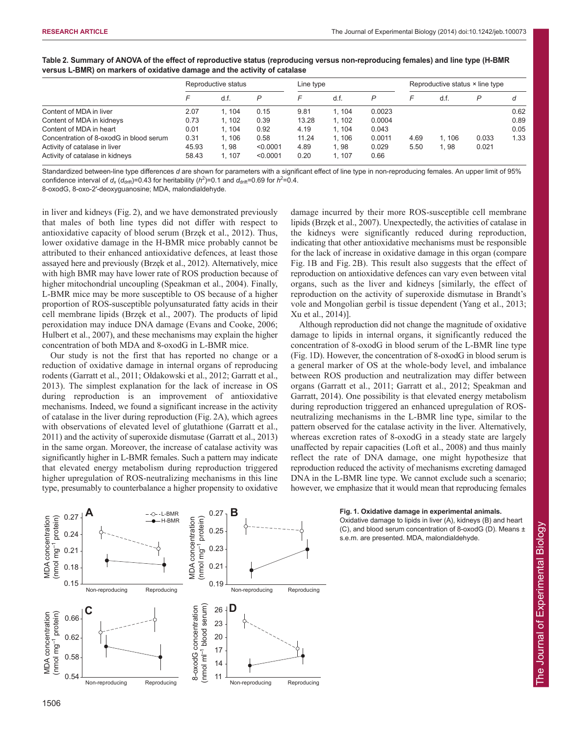|                                         | Reproductive status |       |          | Line type |       |        | Reproductive status × line type |       |       |      |
|-----------------------------------------|---------------------|-------|----------|-----------|-------|--------|---------------------------------|-------|-------|------|
|                                         | F                   | d.f.  | P        |           | d.f.  | P      |                                 | d.f.  | P     | d    |
| Content of MDA in liver                 | 2.07                | 1.104 | 0.15     | 9.81      | 1.104 | 0.0023 |                                 |       |       | 0.62 |
| Content of MDA in kidneys               | 0.73                | 1.102 | 0.39     | 13.28     | 1.102 | 0.0004 |                                 |       |       | 0.89 |
| Content of MDA in heart                 | 0.01                | 1.104 | 0.92     | 4.19      | 1.104 | 0.043  |                                 |       |       | 0.05 |
| Concentration of 8-oxodG in blood serum | 0.31                | 1.106 | 0.58     | 11.24     | 1.106 | 0.0011 | 4.69                            | 1.106 | 0.033 | 1.33 |
| Activity of catalase in liver           | 45.93               | 1.98  | < 0.0001 | 4.89      | 1.98  | 0.029  | 5.50                            | 1.98  | 0.021 |      |
| Activity of catalase in kidneys         | 58.43               | 1.107 | < 0.0001 | 0.20      | 1.107 | 0.66   |                                 |       |       |      |

### **Table 2. Summary of ANOVA of the effect of reproductive status (reproducing versus non-reproducing females) and line type (H-BMR versus L-BMR) on markers of oxidative damage and the activity of catalase**

Standardized between-line type differences *d* are shown for parameters with a significant effect of line type in non-reproducing females. An upper limit of 95% confidence interval of  $d_x$  ( $d_{drift}$ )=0.43 for heritability ( $h^2$ )=0.1 and  $d_{drift}$ =0.69 for  $h^2$ =0.4.

8-oxodG, 8-oxo-2′-deoxyguanosine; MDA, malondialdehyde.

in liver and kidneys (Fig. 2), and we have demonstrated previously that males of both line types did not differ with respect to antioxidative capacity of blood serum (Brzęk et al., 2012). Thus, lower oxidative damage in the H-BMR mice probably cannot be attributed to their enhanced antioxidative defences, at least those assayed here and previously (Brzęk et al., 2012). Alternatively, mice with high BMR may have lower rate of ROS production because of higher mitochondrial uncoupling (Speakman et al., 2004). Finally, L-BMR mice may be more susceptible to OS because of a higher proportion of ROS-susceptible polyunsaturated fatty acids in their cell membrane lipids (Brzęk et al., 2007). The products of lipid peroxidation may induce DNA damage (Evans and Cooke, 2006; Hulbert et al., 2007), and these mechanisms may explain the higher concentration of both MDA and 8-oxodG in L-BMR mice.

Our study is not the first that has reported no change or a reduction of oxidative damage in internal organs of reproducing rodents (Garratt et al., 2011; Ołdakowski et al., 2012; Garratt et al., 2013). The simplest explanation for the lack of increase in OS during reproduction is an improvement of antioxidative mechanisms. Indeed, we found a significant increase in the activity of catalase in the liver during reproduction (Fig. 2A), which agrees with observations of elevated level of glutathione (Garratt et al., 2011) and the activity of superoxide dismutase (Garratt et al., 2013) in the same organ. Moreover, the increase of catalase activity was significantly higher in L-BMR females. Such a pattern may indicate that elevated energy metabolism during reproduction triggered higher upregulation of ROS-neutralizing mechanisms in this line type, presumably to counterbalance a higher propensity to oxidative

damage incurred by their more ROS-susceptible cell membrane lipids (Brzęk et al., 2007). Unexpectedly, the activities of catalase in the kidneys were significantly reduced during reproduction, indicating that other antioxidative mechanisms must be responsible for the lack of increase in oxidative damage in this organ (compare Fig. 1B and Fig. 2B). This result also suggests that the effect of reproduction on antioxidative defences can vary even between vital organs, such as the liver and kidneys [similarly, the effect of reproduction on the activity of superoxide dismutase in Brandt's vole and Mongolian gerbil is tissue dependent (Yang et al., 2013; Xu et al., 2014)].

Although reproduction did not change the magnitude of oxidative damage to lipids in internal organs, it significantly reduced the concentration of 8-oxodG in blood serum of the L-BMR line type (Fig. 1D). However, the concentration of 8-oxodG in blood serum is a general marker of OS at the whole-body level, and imbalance between ROS production and neutralization may differ between organs (Garratt et al., 2011; Garratt et al., 2012; Speakman and Garratt, 2014). One possibility is that elevated energy metabolism during reproduction triggered an enhanced upregulation of ROSneutralizing mechanisms in the L-BMR line type, similar to the pattern observed for the catalase activity in the liver. Alternatively, whereas excretion rates of 8-oxodG in a steady state are largely unaffected by repair capacities (Loft et al., 2008) and thus mainly reflect the rate of DNA damage, one might hypothesize that reproduction reduced the activity of mechanisms excreting damaged DNA in the L-BMR line type. We cannot exclude such a scenario; however, we emphasize that it would mean that reproducing females



### **Fig. 1. Oxidative damage in experimental animals.**

Oxidative damage to lipids in liver (A), kidneys (B) and heart (C), and blood serum concentration of 8-oxodG (D). Means  $\pm$ s.e.m. are presented. MDA, malondialdehyde.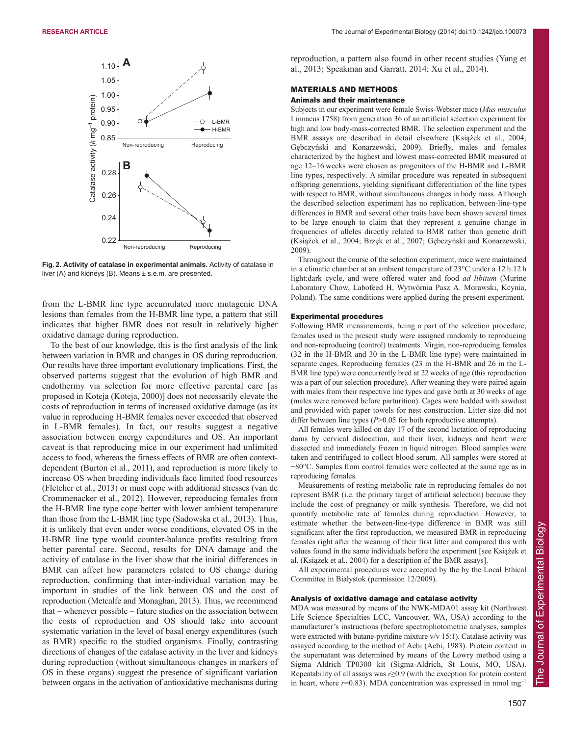

**Fig. 2. Activity of catalase in experimental animals.** Activity of catalase in liver (A) and kidneys (B). Means ± s.e.m. are presented.

from the L-BMR line type accumulated more mutagenic DNA lesions than females from the H-BMR line type, a pattern that still indicates that higher BMR does not result in relatively higher oxidative damage during reproduction.

To the best of our knowledge, this is the first analysis of the link between variation in BMR and changes in OS during reproduction. Our results have three important evolutionary implications. First, the observed patterns suggest that the evolution of high BMR and endothermy via selection for more effective parental care [as proposed in Koteja (Koteja, 2000)] does not necessarily elevate the costs of reproduction in terms of increased oxidative damage (as its value in reproducing H-BMR females never exceeded that observed in L-BMR females). In fact, our results suggest a negative association between energy expenditures and OS. An important caveat is that reproducing mice in our experiment had unlimited access to food, whereas the fitness effects of BMR are often contextdependent (Burton et al., 2011), and reproduction is more likely to increase OS when breeding individuals face limited food resources (Fletcher et al., 2013) or must cope with additional stresses (van de Crommenacker et al., 2012). However, reproducing females from the H-BMR line type cope better with lower ambient temperature than those from the L-BMR line type (Sadowska et al., 2013). Thus, it is unlikely that even under worse conditions, elevated OS in the H-BMR line type would counter-balance profits resulting from better parental care. Second, results for DNA damage and the activity of catalase in the liver show that the initial differences in BMR can affect how parameters related to OS change during reproduction, confirming that inter-individual variation may be important in studies of the link between OS and the cost of reproduction (Metcalfe and Monaghan, 2013). Thus, we recommend that – whenever possible – future studies on the association between the costs of reproduction and OS should take into account systematic variation in the level of basal energy expenditures (such as BMR) specific to the studied organisms. Finally, contrasting directions of changes of the catalase activity in the liver and kidneys during reproduction (without simultaneous changes in markers of OS in these organs) suggest the presence of significant variation between organs in the activation of antioxidative mechanisms during

reproduction, a pattern also found in other recent studies (Yang et al., 2013; Speakman and Garratt, 2014; Xu et al., 2014).

# MATERIALS AND METHODS

## Animals and their maintenance

Subjects in our experiment were female Swiss-Webster mice (*Mus musculus* Linnaeus 1758) from generation 36 of an artificial selection experiment for high and low body-mass-corrected BMR. The selection experiment and the BMR assays are described in detail elsewhere (Książek et al., 2004; Gębczyński and Konarzewski, 2009). Briefly, males and females characterized by the highest and lowest mass-corrected BMR measured at age 12–16 weeks were chosen as progenitors of the H-BMR and L-BMR line types, respectively. A similar procedure was repeated in subsequent offspring generations, yielding significant differentiation of the line types with respect to BMR, without simultaneous changes in body mass. Although the described selection experiment has no replication, between-line-type differences in BMR and several other traits have been shown several times to be large enough to claim that they represent a genuine change in frequencies of alleles directly related to BMR rather than genetic drift (Książek et al., 2004; Brzęk et al., 2007; Gębczyński and Konarzewski, 2009).

Throughout the course of the selection experiment, mice were maintained in a climatic chamber at an ambient temperature of 23°C under a 12 h:12 h light:dark cycle, and were offered water and food *ad libitum* (Murine Laboratory Chow, Labofeed H, Wytwórnia Pasz A. Morawski, Kcynia, Poland). The same conditions were applied during the present experiment.

### Experimental procedures

Following BMR measurements, being a part of the selection procedure, females used in the present study were assigned randomly to reproducing and non-reproducing (control) treatments. Virgin, non-reproducing females (32 in the H-BMR and 30 in the L-BMR line type) were maintained in separate cages. Reproducing females (23 in the H-BMR and 26 in the L-BMR line type) were concurrently bred at 22 weeks of age (this reproduction was a part of our selection procedure). After weaning they were paired again with males from their respective line types and gave birth at 30 weeks of age (males were removed before parturition). Cages were bedded with sawdust and provided with paper towels for nest construction. Litter size did not differ between line types (*P*>0.05 for both reproductive attempts).

All females were killed on day 17 of the second lactation of reproducing dams by cervical dislocation, and their liver, kidneys and heart were dissected and immediately frozen in liquid nitrogen. Blood samples were taken and centrifuged to collect blood serum. All samples were stored at −80°C. Samples from control females were collected at the same age as in reproducing females.

Measurements of resting metabolic rate in reproducing females do not represent BMR (i.e. the primary target of artificial selection) because they include the cost of pregnancy or milk synthesis. Therefore, we did not quantify metabolic rate of females during reproduction. However, to estimate whether the between-line-type difference in BMR was still significant after the first reproduction, we measured BMR in reproducing females right after the weaning of their first litter and compared this with values found in the same individuals before the experiment [see Książek et al. (Książek et al., 2004) for a description of the BMR assays].

All experimental procedures were accepted by the by the Local Ethical Committee in Białystok (permission 12/2009).

### Analysis of oxidative damage and catalase activity

MDA was measured by means of the NWK-MDA01 assay kit (Northwest Life Science Specialties LCC, Vancouver, WA, USA) according to the manufacturer's instructions (before spectrophotometric analyses, samples were extracted with butane-pyridine mixture v/v 15:1). Catalase activity was assayed according to the method of Aebi (Aebi, 1983). Protein content in the supernatant was determined by means of the Lowry method using a Sigma Aldrich TP0300 kit (Sigma-Aldrich, St Louis, MO, USA). Repeatability of all assays was *r*≥0.9 (with the exception for protein content in heart, where  $r=0.83$ ). MDA concentration was expressed in nmol mg<sup>-1</sup>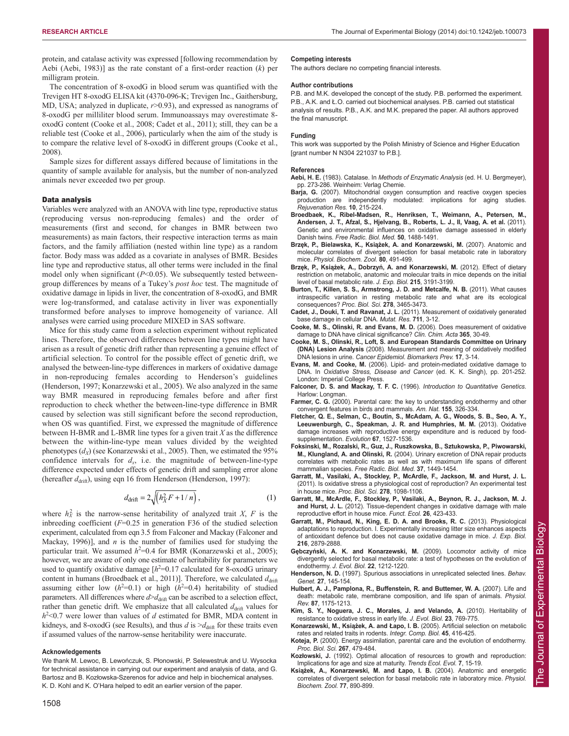protein, and catalase activity was expressed [following recommendation by Aebi (Aebi, 1983)] as the rate constant of a first-order reaction (*k*) per milligram protein.

The concentration of 8-oxodG in blood serum was quantified with the Trevigen HT 8-oxodG ELISA kit (4370-096-K; Trevigen Inc., Gaithersburg, MD, USA; analyzed in duplicate,  $r > 0.93$ ), and expressed as nanograms of 8-oxodG per milliliter blood serum. Immunoassays may overestimate 8 oxodG content (Cooke et al., 2008; Cadet et al., 2011); still, they can be a reliable test (Cooke et al., 2006), particularly when the aim of the study is to compare the relative level of 8-oxodG in different groups (Cooke et al., 2008).

Sample sizes for different assays differed because of limitations in the quantity of sample available for analysis, but the number of non-analyzed animals never exceeded two per group.

### Data analysis

Variables were analyzed with an ANOVA with line type, reproductive status (reproducing versus non-reproducing females) and the order of measurements (first and second, for changes in BMR between two measurements) as main factors, their respective interaction terms as main factors, and the family affiliation (nested within line type) as a random factor. Body mass was added as a covariate in analyses of BMR. Besides line type and reproductive status, all other terms were included in the final model only when significant (*P*<0.05). We subsequently tested betweengroup differences by means of a Tukey's *post hoc* test. The magnitude of oxidative damage in lipids in liver, the concentration of 8-oxodG, and BMR were log-transformed, and catalase activity in liver was exponentially transformed before analyses to improve homogeneity of variance. All analyses were carried using procedure MIXED in SAS software.

Mice for this study came from a selection experiment without replicated lines. Therefore, the observed differences between line types might have arisen as a result of genetic drift rather than representing a genuine effect of artificial selection. To control for the possible effect of genetic drift, we analysed the between-line-type differences in markers of oxidative damage in non-reproducing females according to Henderson's guidelines (Henderson, 1997; Konarzewski et al., 2005). We also analyzed in the same way BMR measured in reproducing females before and after first reproduction to check whether the between-line-type difference in BMR caused by selection was still significant before the second reproduction, when OS was quantified. First, we expressed the magnitude of difference between H-BMR and L-BMR line types for a given trait *X* as the difference between the within-line-type mean values divided by the weighted phenotypes  $(d_X)$  (see Konarzewski et al., 2005). Then, we estimated the  $95\%$ confidence intervals for  $d_x$ , i.e. the magnitude of between-line-type difference expected under effects of genetic drift and sampling error alone (hereafter  $d<sub>drift</sub>$ ), using eqn 16 from Henderson (Henderson, 1997):

$$
d_{\text{drift}} = 2\sqrt{\left(h_X^2 F + 1/n\right)},\tag{1}
$$

where  $h_X^2$  is the narrow-sense heritability of analyzed trait *X*, *F* is the inbreeding coefficient  $(F=0.25$  in generation F36 of the studied selection experiment, calculated from eqn 3.5 from Falconer and Mackay (Falconer and Mackay, 1996)], and *n* is the number of families used for studying the particular trait. We assumed  $h^2$ =0.4 for BMR (Konarzewski et al., 2005); however, we are aware of only one estimate of heritability for parameters we used to quantify oxidative damage  $[h^2=0.17$  calculated for 8-oxodG urinary content in humans (Broedbaek et al., 2011)]. Therefore, we calculated  $d_{\text{drift}}$ assuming either low  $(h^2=0.1)$  or high  $(h^2=0.4)$  heritability of studied parameters. All differences where  $d>d_{\text{drift}}$  can be ascribed to a selection effect, rather than genetic drift. We emphasize that all calculated  $d_{\text{drift}}$  values for *h*2 <0.7 were lower than values of *d* estimated for BMR, MDA content in kidneys, and 8-oxodG (see Results), and thus  $d$  is  $> d_{\text{drift}}$  for these traits even if assumed values of the narrow-sense heritability were inaccurate.

#### **Acknowledgements**

We thank M. Lewoc, B. Lewończuk, S. Płonowski, P. Selewestruk and U. Wysocka for technical assistance in carrying out our experiment and analysis of data, and G. Bartosz and B. Kozłowska-Szerenos for advice and help in biochemical analyses. K. D. Kohl and K. O'Hara helped to edit an earlier version of the paper.

The authors declare no competing financial interests.

#### **Author contributions**

P.B. and M.K. developed the concept of the study. P.B. performed the experiment. P.B., A.K. and Ł.O. carried out biochemical analyses. P.B. carried out statistical analysis of results. P.B., A.K. and M.K. prepared the paper. All authors approved the final manuscript.

### **Funding**

This work was supported by the Polish Ministry of Science and Higher Education [grant number N N304 221037 to P.B.].

#### **References**

**Aebi, H. E.** (1983). Catalase. In *Methods of Enzymatic Analysis* (ed. H. U. Bergmeyer), pp. 273-286. Weinheim: Verlag Chemie.

- **Barja, G.** (2007). Mitochondrial oxygen consumption and reactive oxygen species production are independently modulated: implications for aging studies. *Rejuvenation Res.* **10**, 215-224.
- **Broedbaek, K., Ribel-Madsen, R., Henriksen, T., Weimann, A., Petersen, M., Andersen, J. T., Afzal, S., Hjelvang, B., Roberts, L. J., II, Vaag, A. et al.** (2011). Genetic and environmental influences on oxidative damage assessed in elderly Danish twins. *Free Radic. Biol. Med.* **50**, 1488-1491.
- **Brzęk, P., Bielawska, K., Książek, A. and Konarzewski, M.** (2007). Anatomic and molecular correlates of divergent selection for basal metabolic rate in laboratory mice. *Physiol. Biochem. Zool.* **80**, 491-499.
- **Brzęk, P., Książek, A., Dobrzyń, A. and Konarzewski, M.** (2012). Effect of dietary restriction on metabolic, anatomic and molecular traits in mice depends on the initial level of basal metabolic rate. *J. Exp. Biol.* **215**, 3191-3199.
- **Burton, T., Killen, S. S., Armstrong, J. D. and Metcalfe, N. B.** (2011). What causes intraspecific variation in resting metabolic rate and what are its ecological consequences? *Proc. Biol. Sci.* **278**, 3465-3473.
- **Cadet, J., Douki, T. and Ravanat, J. L.** (2011). Measurement of oxidatively generated base damage in cellular DNA. *Mutat. Res.* **711**, 3-12.
- **Cooke, M. S., Olinski, R. and Evans, M. D.** (2006). Does measurement of oxidative damage to DNA have clinical significance? *Clin. Chim. Acta* **365**, 30-49.
- **Cooke, M. S., Olinski, R., Loft, S. and European Standards Committee on Urinary (DNA) Lesion Analysis** (2008). Measurement and meaning of oxidatively modified DNA lesions in urine. *Cancer Epidemiol. Biomarkers Prev.* **17**, 3-14.
- **Evans, M. and Cooke, M.** (2006). Lipid- and protein-mediated oxidative damage to DNA. In *Oxidative Stress, Disease and Cancer* (ed. K. K. Singh), pp. 201-252. London: Imperial College Press.
- **Falconer, D. S. and Mackay, T. F. C.** (1996). *Introduction to Quantitative Genetics*. Harlow: Longman.
- **Farmer, C. G.** (2000). Parental care: the key to understanding endothermy and other convergent features in birds and mammals. *Am. Nat.* **155**, 326-334.
- **Fletcher, Q. E., Selman, C., Boutin, S., McAdam, A. G., Woods, S. B., Seo, A. Y., Leeuwenburgh, C., Speakman, J. R. and Humphries, M. M.** (2013). Oxidative damage increases with reproductive energy expenditure and is reduced by foodsupplementation. *Evolution* **67**, 1527-1536.
- **Foksinski, M., Rozalski, R., Guz, J., Ruszkowska, B., Sztukowska, P., Piwowarski, M., Klungland, A. and Olinski, R.** (2004). Urinary excretion of DNA repair products correlates with metabolic rates as well as with maximum life spans of different mammalian species. *Free Radic. Biol. Med.* **37**, 1449-1454.
- **Garratt, M., Vasilaki, A., Stockley, P., McArdle, F., Jackson, M. and Hurst, J. L.** (2011). Is oxidative stress a physiological cost of reproduction? An experimental test in house mice. *Proc. Biol. Sci.* **278**, 1098-1106.
- **Garratt, M., McArdle, F., Stockley, P., Vasilaki, A., Beynon, R. J., Jackson, M. J. and Hurst, J. L.** (2012). Tissue-dependent changes in oxidative damage with male reproductive effort in house mice. *Funct. Ecol.* **26**, 423-433.
- **Garratt, M., Pichaud, N., King, E. D. A. and Brooks, R. C.** (2013). Physiological adaptations to reproduction. I. Experimentally increasing litter size enhances aspects of antioxidant defence but does not cause oxidative damage in mice. *J. Exp. Biol.* **216**, 2879-2888.
- **Gębczyński, A. K. and Konarzewski, M.** (2009). Locomotor activity of mice divergently selected for basal metabolic rate: a test of hypotheses on the evolution of endothermy. *J. Evol. Biol.* **22**, 1212-1220.
- **Henderson, N. D.** (1997). Spurious associations in unreplicated selected lines. *Behav. Genet.* **27**, 145-154.
- **Hulbert, A. J., Pamplona, R., Buffenstein, R. and Buttemer, W. A.** (2007). Life and death: metabolic rate, membrane composition, and life span of animals. *Physiol. Rev.* **87**, 1175-1213.
- **Kim, S. Y., Noguera, J. C., Morales, J. and Velando, A.** (2010). Heritability of resistance to oxidative stress in early life. *J. Evol. Biol.* **23**, 769-775.
- **Konarzewski, M., Książek, A. and Łapo, I. B.** (2005). Artificial selection on metabolic rates and related traits in rodents. *Integr. Comp. Biol.* **45**, 416-425.
- **Koteja, P.** (2000). Energy assimilation, parental care and the evolution of endothermy. *Proc. Biol. Sci.* **267**, 479-484.
- **Kozłowski, J.** (1992). Optimal allocation of resources to growth and reproduction: Implications for age and size at maturity. *Trends Ecol. Evol.* **7**, 15-19.
- **Książek, A., Konarzewski, M. and Łapo, I. B.** (2004). Anatomic and energetic correlates of divergent selection for basal metabolic rate in laboratory mice. *Physiol. Biochem. Zool.* **77**, 890-899.